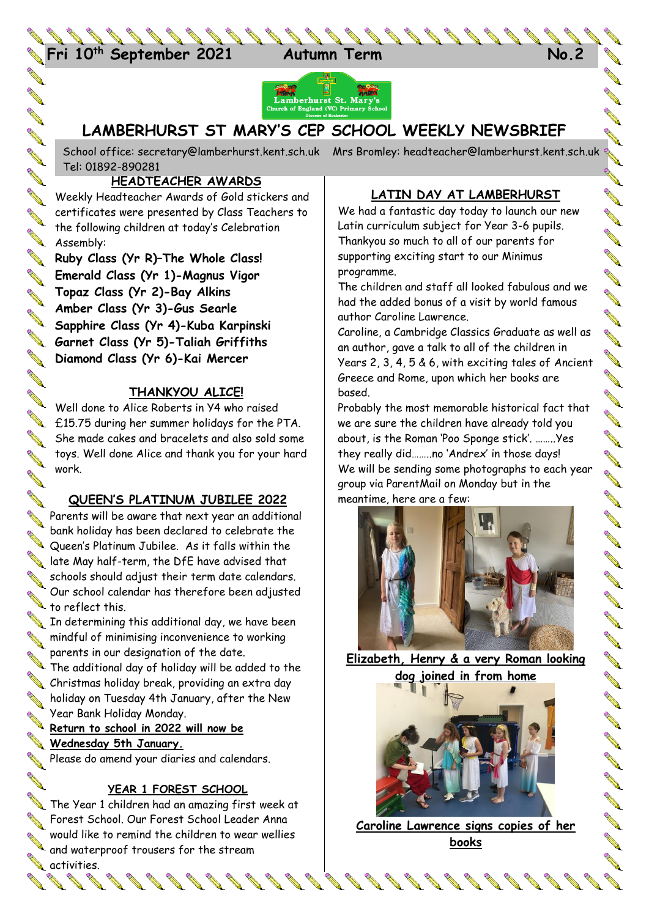



# **LAMBERHURST ST MARY'S CEP SCHOOL WEEKLY NEWSBRIEF**

School office: [secretary@lamberhurst.kent.sch.uk](mailto:secretary@lamberhurst.kent.sch.uk) Mrs Bromley: headteacher@lamberhurst.kent.sch.uk Tel: 01892-890281

### **HEADTEACHER AWARDS**

**COMP** 

**ARK ARK** 

**ANTI** 

**RANCISCO CONTROLLER** 

**A ARK** 

**AVER** 

**ANTI** 

Weekly Headteacher Awards of Gold stickers and certificates were presented by Class Teachers to the following children at today's Celebration **Assembly:** 

**Ruby Class (Yr R)–The Whole Class! Emerald Class (Yr 1)-Magnus Vigor Topaz Class (Yr 2)-Bay Alkins Amber Class (Yr 3)-Gus Searle Sapphire Class (Yr 4)-Kuba Karpinski**<br>Sapphire Class (Yr 4)-Kuba Karpinski<br>Didded Chiffiths **Garnet Class (Yr 5)-Taliah Griffiths Diamond Class (Yr 6)-Kai Mercer**

## **THANKYOU ALICE!**

Well done to Alice Roberts in Y4 who raised We we we have to the content of the PTA. She made cakes and bracelets and also sold some toys. Well done Alice and thank you for your hard work.

## **QUEEN'S PLATINUM JUBILEE 2022**

**AVE** Parents will be aware that next year an additional Solank nollady rids been about the Committee May half-term, the DfE have advised that bank holiday has been declared to celebrate the Queen's Platinum Jubilee. As it falls within the schools should adjust their term date calendars.  $\sum$   $\tan \frac{1}{2}$  to reflect this. Our school calendar has therefore been adjusted

In determining this additional day, we have been mindful of minimising inconvenience to working parents in our designation of the date.

The additional day of holiday will be added to the Christmas holiday break, providing an extra day holiday on Tuesday 4th January, after the New Year Bank Holiday Monday.

**Return to school in 2022 will now be Wednesday 5th January.** 

Please do amend your diaries and calendars.

### **YEAR 1 FOREST SCHOOL**

The Year 1 children had an amazing first week at **Sex Forest School. Our Forest School Leader Anna** would like to remind the children to wear wellies would like to remma me sume.<br>and waterproof trousers for the stream

# **A** activities.

**ANTI** 

# **LATIN DAY AT LAMBERHURST**

We had a fantastic day today to launch our new Latin curriculum subject for Year 3-6 pupils. Thankyou so much to all of our parents for supporting exciting start to our Minimus programme.

The children and staff all looked fabulous and we had the added bonus of a visit by world famous author Caroline Lawrence.

Caroline, a Cambridge Classics Graduate as well as an author, gave a talk to all of the children in Years 2, 3, 4, 5 & 6, with exciting tales of Ancient Greece and Rome, upon which her books are based.

Probably the most memorable historical fact that we are sure the children have already told you about, is the Roman 'Poo Sponge stick'. ……..Yes they really did……..no 'Andrex' in those days! We will be sending some photographs to each year group via ParentMail on Monday but in the meantime, here are a few:



**Elizabeth, Henry & a very Roman looking dog joined in from home**



**Caroline Lawrence signs copies of her books**